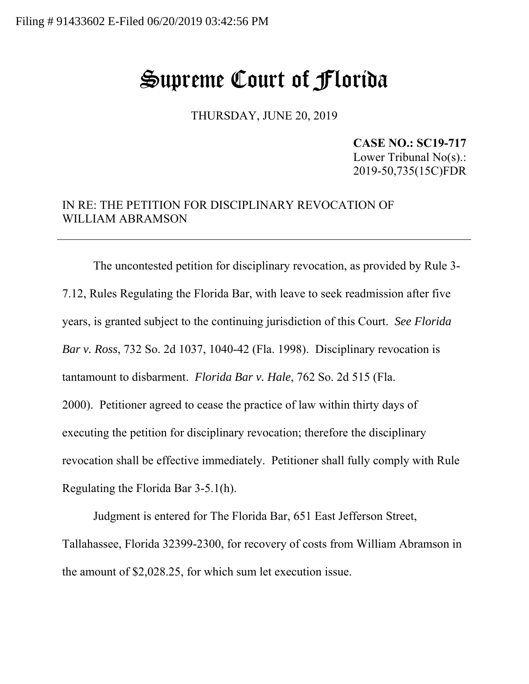## Supreme Court of Florida

THURSDAY, JUNE 20, 2019

**CASE NO.: SC19-717**  Lower Tribunal No(s).: 2019-50,735(15C)FDR

## IN RE: THE PETITION FOR DISCIPLINARY REVOCATION OF WILLIAM ABRAMSON

The uncontested petition for disciplinary revocation, as provided by Rule 3- 7.12, Rules Regulating the Florida Bar, with leave to seek readmission after five years, is granted subject to the continuing jurisdiction of this Court. *See Florida Bar v. Ross*, 732 So. 2d 1037, 1040-42 (Fla. 1998). Disciplinary revocation is tantamount to disbarment. *Florida Bar v. Hale*, 762 So. 2d 515 (Fla. 2000). Petitioner agreed to cease the practice of law within thirty days of executing the petition for disciplinary revocation; therefore the disciplinary revocation shall be effective immediately. Petitioner shall fully comply with Rule Regulating the Florida Bar 3-5.1(h).

Judgment is entered for The Florida Bar, 651 East Jefferson Street, Tallahassee, Florida 32399-2300, for recovery of costs from William Abramson in the amount of \$2,028.25, for which sum let execution issue.